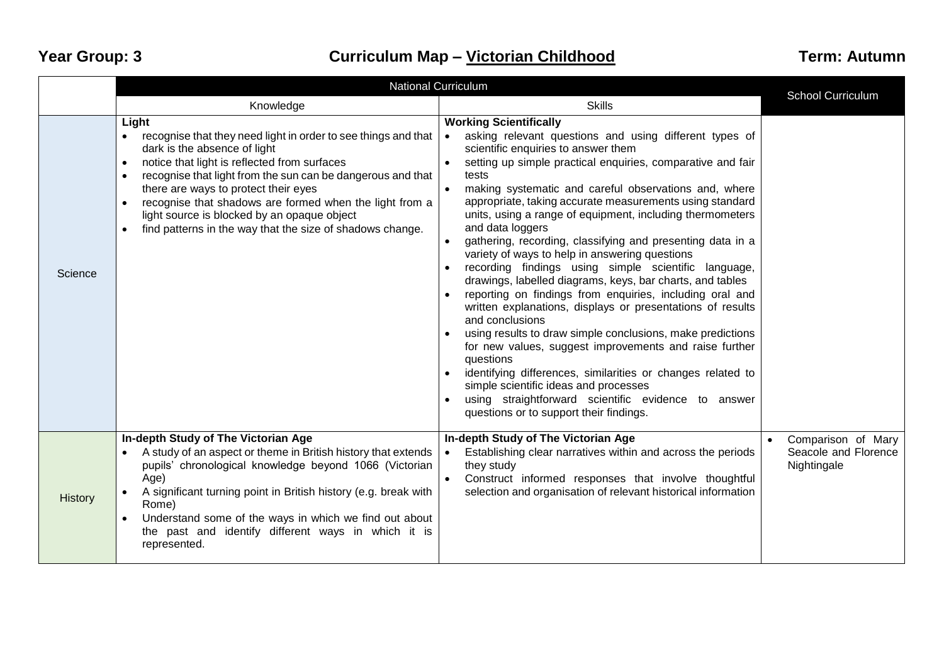## **Year Group: 3 Curriculum Map – Victorian Childhood Term: Autumn**

|                | <b>National Curriculum</b>                                                                                                                                                                                                                                                                                                                                                                                                                                                                |                                                                                                                                                                                                                                                                                                                                                                                                                                                                                                                                                                                                                                                                                                                                                                                                                                                                                                                                                                                                                                                                                                                                                            | <b>School Curriculum</b>                                  |
|----------------|-------------------------------------------------------------------------------------------------------------------------------------------------------------------------------------------------------------------------------------------------------------------------------------------------------------------------------------------------------------------------------------------------------------------------------------------------------------------------------------------|------------------------------------------------------------------------------------------------------------------------------------------------------------------------------------------------------------------------------------------------------------------------------------------------------------------------------------------------------------------------------------------------------------------------------------------------------------------------------------------------------------------------------------------------------------------------------------------------------------------------------------------------------------------------------------------------------------------------------------------------------------------------------------------------------------------------------------------------------------------------------------------------------------------------------------------------------------------------------------------------------------------------------------------------------------------------------------------------------------------------------------------------------------|-----------------------------------------------------------|
|                | Knowledge                                                                                                                                                                                                                                                                                                                                                                                                                                                                                 | <b>Skills</b>                                                                                                                                                                                                                                                                                                                                                                                                                                                                                                                                                                                                                                                                                                                                                                                                                                                                                                                                                                                                                                                                                                                                              |                                                           |
| Science        | Light<br>recognise that they need light in order to see things and that<br>$\bullet$<br>dark is the absence of light<br>notice that light is reflected from surfaces<br>$\bullet$<br>recognise that light from the sun can be dangerous and that<br>$\bullet$<br>there are ways to protect their eyes<br>recognise that shadows are formed when the light from a<br>light source is blocked by an opaque object<br>find patterns in the way that the size of shadows change.<br>$\bullet$ | <b>Working Scientifically</b><br>asking relevant questions and using different types of<br>scientific enquiries to answer them<br>setting up simple practical enquiries, comparative and fair<br>tests<br>making systematic and careful observations and, where<br>$\bullet$<br>appropriate, taking accurate measurements using standard<br>units, using a range of equipment, including thermometers<br>and data loggers<br>gathering, recording, classifying and presenting data in a<br>variety of ways to help in answering questions<br>recording findings using simple scientific language,<br>drawings, labelled diagrams, keys, bar charts, and tables<br>reporting on findings from enquiries, including oral and<br>written explanations, displays or presentations of results<br>and conclusions<br>using results to draw simple conclusions, make predictions<br>for new values, suggest improvements and raise further<br>questions<br>identifying differences, similarities or changes related to<br>simple scientific ideas and processes<br>using straightforward scientific evidence to answer<br>questions or to support their findings. |                                                           |
| <b>History</b> | In-depth Study of The Victorian Age<br>A study of an aspect or theme in British history that extends<br>pupils' chronological knowledge beyond 1066 (Victorian<br>Age)<br>A significant turning point in British history (e.g. break with<br>Rome)<br>Understand some of the ways in which we find out about<br>the past and identify different ways in which it is<br>represented.                                                                                                       | In-depth Study of The Victorian Age<br>Establishing clear narratives within and across the periods<br>they study<br>Construct informed responses that involve thoughtful<br>selection and organisation of relevant historical information                                                                                                                                                                                                                                                                                                                                                                                                                                                                                                                                                                                                                                                                                                                                                                                                                                                                                                                  | Comparison of Mary<br>Seacole and Florence<br>Nightingale |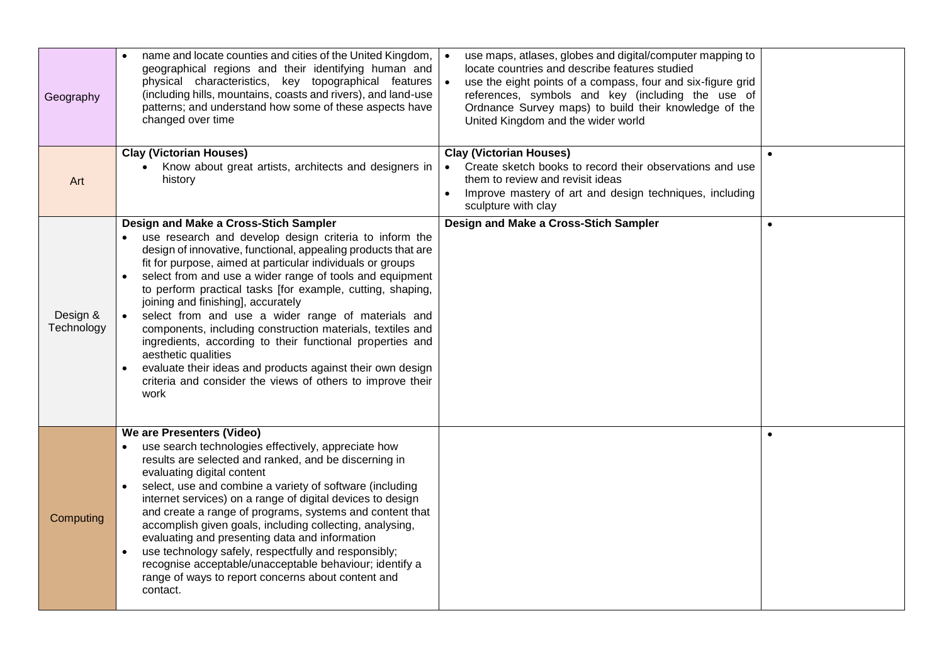| Geography              | name and locate counties and cities of the United Kingdom,<br>geographical regions and their identifying human and<br>physical characteristics, key topographical features<br>(including hills, mountains, coasts and rivers), and land-use<br>patterns; and understand how some of these aspects have<br>changed over time                                                                                                                                                                                                                                                                                                                                                                                                                | use maps, atlases, globes and digital/computer mapping to<br>locate countries and describe features studied<br>use the eight points of a compass, four and six-figure grid<br>references, symbols and key (including the use of<br>Ordnance Survey maps) to build their knowledge of the<br>United Kingdom and the wider world |           |
|------------------------|--------------------------------------------------------------------------------------------------------------------------------------------------------------------------------------------------------------------------------------------------------------------------------------------------------------------------------------------------------------------------------------------------------------------------------------------------------------------------------------------------------------------------------------------------------------------------------------------------------------------------------------------------------------------------------------------------------------------------------------------|--------------------------------------------------------------------------------------------------------------------------------------------------------------------------------------------------------------------------------------------------------------------------------------------------------------------------------|-----------|
| Art                    | <b>Clay (Victorian Houses)</b><br>Know about great artists, architects and designers in<br>history                                                                                                                                                                                                                                                                                                                                                                                                                                                                                                                                                                                                                                         | <b>Clay (Victorian Houses)</b><br>Create sketch books to record their observations and use<br>them to review and revisit ideas<br>Improve mastery of art and design techniques, including<br>sculpture with clay                                                                                                               | $\bullet$ |
| Design &<br>Technology | Design and Make a Cross-Stich Sampler<br>use research and develop design criteria to inform the<br>design of innovative, functional, appealing products that are<br>fit for purpose, aimed at particular individuals or groups<br>select from and use a wider range of tools and equipment<br>to perform practical tasks [for example, cutting, shaping,<br>joining and finishing], accurately<br>select from and use a wider range of materials and<br>components, including construction materials, textiles and<br>ingredients, according to their functional properties and<br>aesthetic qualities<br>evaluate their ideas and products against their own design<br>criteria and consider the views of others to improve their<br>work | Design and Make a Cross-Stich Sampler                                                                                                                                                                                                                                                                                          |           |
| Computing              | We are Presenters (Video)<br>use search technologies effectively, appreciate how<br>results are selected and ranked, and be discerning in<br>evaluating digital content<br>select, use and combine a variety of software (including<br>internet services) on a range of digital devices to design<br>and create a range of programs, systems and content that<br>accomplish given goals, including collecting, analysing,<br>evaluating and presenting data and information<br>use technology safely, respectfully and responsibly;<br>$\bullet$<br>recognise acceptable/unacceptable behaviour; identify a<br>range of ways to report concerns about content and<br>contact.                                                              |                                                                                                                                                                                                                                                                                                                                |           |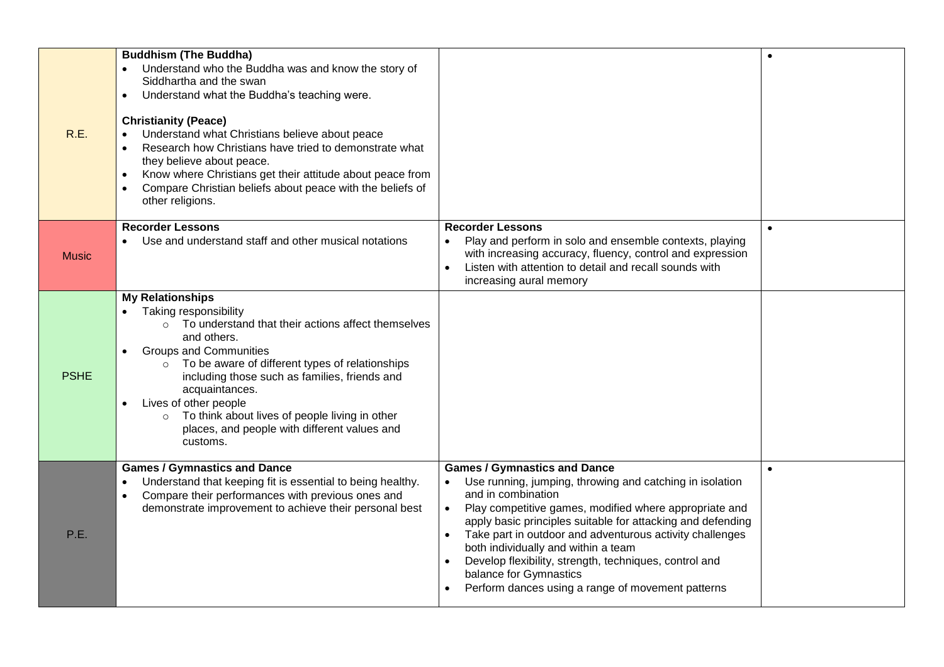| R.E.         | <b>Buddhism (The Buddha)</b><br>Understand who the Buddha was and know the story of<br>Siddhartha and the swan<br>Understand what the Buddha's teaching were.<br>$\bullet$<br><b>Christianity (Peace)</b><br>Understand what Christians believe about peace<br>$\bullet$<br>Research how Christians have tried to demonstrate what<br>$\bullet$<br>they believe about peace.<br>Know where Christians get their attitude about peace from<br>$\bullet$<br>Compare Christian beliefs about peace with the beliefs of<br>$\bullet$<br>other religions. |                                                                                                                                                                                                                                                                                                                                                                                                                                                                                            | $\bullet$ |
|--------------|------------------------------------------------------------------------------------------------------------------------------------------------------------------------------------------------------------------------------------------------------------------------------------------------------------------------------------------------------------------------------------------------------------------------------------------------------------------------------------------------------------------------------------------------------|--------------------------------------------------------------------------------------------------------------------------------------------------------------------------------------------------------------------------------------------------------------------------------------------------------------------------------------------------------------------------------------------------------------------------------------------------------------------------------------------|-----------|
| <b>Music</b> | <b>Recorder Lessons</b><br>Use and understand staff and other musical notations                                                                                                                                                                                                                                                                                                                                                                                                                                                                      | <b>Recorder Lessons</b><br>Play and perform in solo and ensemble contexts, playing<br>with increasing accuracy, fluency, control and expression<br>Listen with attention to detail and recall sounds with<br>increasing aural memory                                                                                                                                                                                                                                                       | $\bullet$ |
| <b>PSHE</b>  | <b>My Relationships</b><br>Taking responsibility<br>$\bullet$<br>To understand that their actions affect themselves<br>$\circ$<br>and others.<br><b>Groups and Communities</b><br>$\bullet$<br>To be aware of different types of relationships<br>$\circ$<br>including those such as families, friends and<br>acquaintances.<br>Lives of other people<br>$\bullet$<br>To think about lives of people living in other<br>$\circ$<br>places, and people with different values and<br>customs.                                                          |                                                                                                                                                                                                                                                                                                                                                                                                                                                                                            |           |
| P.E.         | <b>Games / Gymnastics and Dance</b><br>Understand that keeping fit is essential to being healthy.<br>$\bullet$<br>Compare their performances with previous ones and<br>$\bullet$<br>demonstrate improvement to achieve their personal best                                                                                                                                                                                                                                                                                                           | <b>Games / Gymnastics and Dance</b><br>Use running, jumping, throwing and catching in isolation<br>and in combination<br>Play competitive games, modified where appropriate and<br>apply basic principles suitable for attacking and defending<br>Take part in outdoor and adventurous activity challenges<br>both individually and within a team<br>Develop flexibility, strength, techniques, control and<br>balance for Gymnastics<br>Perform dances using a range of movement patterns | $\bullet$ |